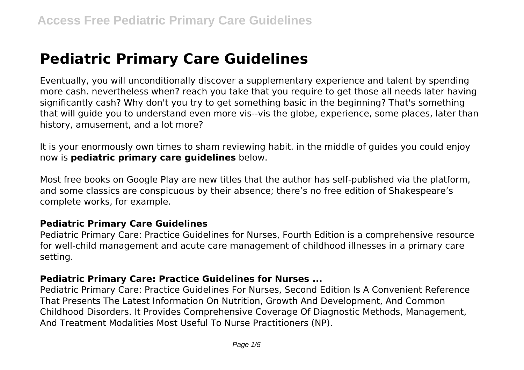# **Pediatric Primary Care Guidelines**

Eventually, you will unconditionally discover a supplementary experience and talent by spending more cash. nevertheless when? reach you take that you require to get those all needs later having significantly cash? Why don't you try to get something basic in the beginning? That's something that will guide you to understand even more vis--vis the globe, experience, some places, later than history, amusement, and a lot more?

It is your enormously own times to sham reviewing habit. in the middle of guides you could enjoy now is **pediatric primary care guidelines** below.

Most free books on Google Play are new titles that the author has self-published via the platform, and some classics are conspicuous by their absence; there's no free edition of Shakespeare's complete works, for example.

#### **Pediatric Primary Care Guidelines**

Pediatric Primary Care: Practice Guidelines for Nurses, Fourth Edition is a comprehensive resource for well-child management and acute care management of childhood illnesses in a primary care setting.

#### **Pediatric Primary Care: Practice Guidelines for Nurses ...**

Pediatric Primary Care: Practice Guidelines For Nurses, Second Edition Is A Convenient Reference That Presents The Latest Information On Nutrition, Growth And Development, And Common Childhood Disorders. It Provides Comprehensive Coverage Of Diagnostic Methods, Management, And Treatment Modalities Most Useful To Nurse Practitioners (NP).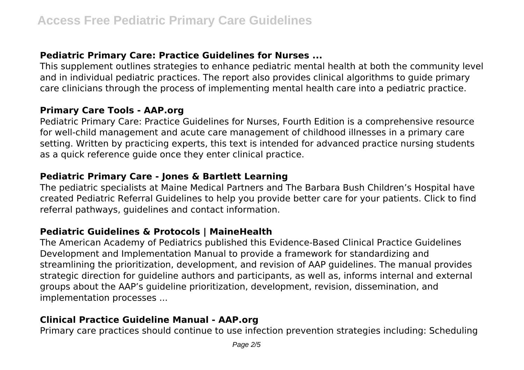# **Pediatric Primary Care: Practice Guidelines for Nurses ...**

This supplement outlines strategies to enhance pediatric mental health at both the community level and in individual pediatric practices. The report also provides clinical algorithms to guide primary care clinicians through the process of implementing mental health care into a pediatric practice.

#### **Primary Care Tools - AAP.org**

Pediatric Primary Care: Practice Guidelines for Nurses, Fourth Edition is a comprehensive resource for well-child management and acute care management of childhood illnesses in a primary care setting. Written by practicing experts, this text is intended for advanced practice nursing students as a quick reference guide once they enter clinical practice.

## **Pediatric Primary Care - Jones & Bartlett Learning**

The pediatric specialists at Maine Medical Partners and The Barbara Bush Children's Hospital have created Pediatric Referral Guidelines to help you provide better care for your patients. Click to find referral pathways, guidelines and contact information.

#### **Pediatric Guidelines & Protocols | MaineHealth**

The American Academy of Pediatrics published this Evidence-Based Clinical Practice Guidelines Development and Implementation Manual to provide a framework for standardizing and streamlining the prioritization, development, and revision of AAP guidelines. The manual provides strategic direction for guideline authors and participants, as well as, informs internal and external groups about the AAP's guideline prioritization, development, revision, dissemination, and implementation processes ...

## **Clinical Practice Guideline Manual - AAP.org**

Primary care practices should continue to use infection prevention strategies including: Scheduling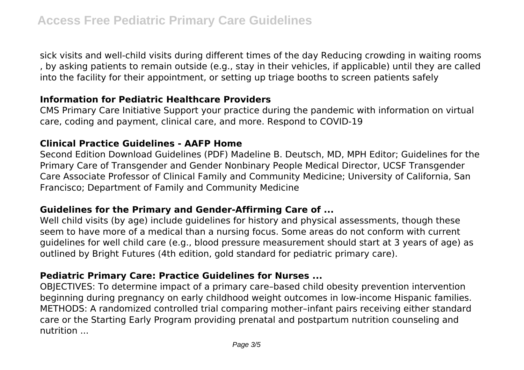sick visits and well-child visits during different times of the day Reducing crowding in waiting rooms , by asking patients to remain outside (e.g., stay in their vehicles, if applicable) until they are called into the facility for their appointment, or setting up triage booths to screen patients safely

#### **Information for Pediatric Healthcare Providers**

CMS Primary Care Initiative Support your practice during the pandemic with information on virtual care, coding and payment, clinical care, and more. Respond to COVID-19

#### **Clinical Practice Guidelines - AAFP Home**

Second Edition Download Guidelines (PDF) Madeline B. Deutsch, MD, MPH Editor; Guidelines for the Primary Care of Transgender and Gender Nonbinary People Medical Director, UCSF Transgender Care Associate Professor of Clinical Family and Community Medicine; University of California, San Francisco; Department of Family and Community Medicine

## **Guidelines for the Primary and Gender-Affirming Care of ...**

Well child visits (by age) include guidelines for history and physical assessments, though these seem to have more of a medical than a nursing focus. Some areas do not conform with current guidelines for well child care (e.g., blood pressure measurement should start at 3 years of age) as outlined by Bright Futures (4th edition, gold standard for pediatric primary care).

## **Pediatric Primary Care: Practice Guidelines for Nurses ...**

OBJECTIVES: To determine impact of a primary care–based child obesity prevention intervention beginning during pregnancy on early childhood weight outcomes in low-income Hispanic families. METHODS: A randomized controlled trial comparing mother–infant pairs receiving either standard care or the Starting Early Program providing prenatal and postpartum nutrition counseling and nutrition ...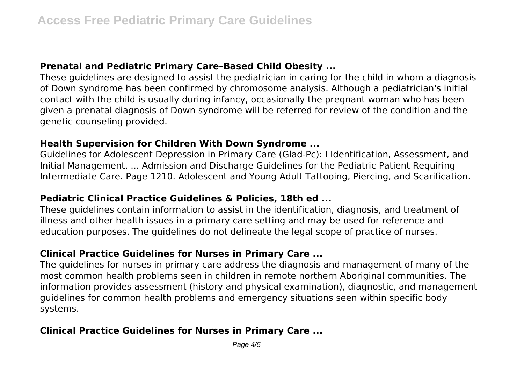## **Prenatal and Pediatric Primary Care–Based Child Obesity ...**

These guidelines are designed to assist the pediatrician in caring for the child in whom a diagnosis of Down syndrome has been confirmed by chromosome analysis. Although a pediatrician's initial contact with the child is usually during infancy, occasionally the pregnant woman who has been given a prenatal diagnosis of Down syndrome will be referred for review of the condition and the genetic counseling provided.

#### **Health Supervision for Children With Down Syndrome ...**

Guidelines for Adolescent Depression in Primary Care (Glad-Pc): I Identification, Assessment, and Initial Management. ... Admission and Discharge Guidelines for the Pediatric Patient Requiring Intermediate Care. Page 1210. Adolescent and Young Adult Tattooing, Piercing, and Scarification.

## **Pediatric Clinical Practice Guidelines & Policies, 18th ed ...**

These guidelines contain information to assist in the identification, diagnosis, and treatment of illness and other health issues in a primary care setting and may be used for reference and education purposes. The guidelines do not delineate the legal scope of practice of nurses.

# **Clinical Practice Guidelines for Nurses in Primary Care ...**

The guidelines for nurses in primary care address the diagnosis and management of many of the most common health problems seen in children in remote northern Aboriginal communities. The information provides assessment (history and physical examination), diagnostic, and management guidelines for common health problems and emergency situations seen within specific body systems.

# **Clinical Practice Guidelines for Nurses in Primary Care ...**